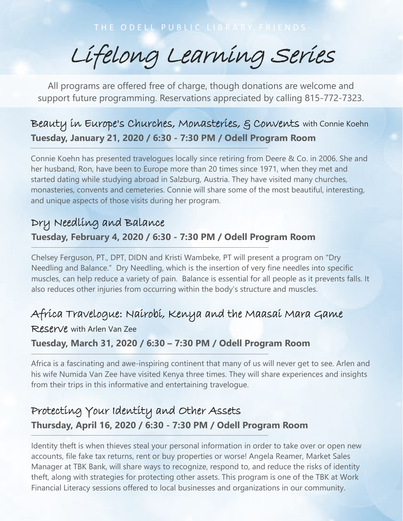Lifelong Learning Series

All programs are offered free of charge, though donations are welcome and support future programming. Reservations appreciated by calling 815-772-7323.

## Beauty in Europe's Churches, Monasteries, & Convents with Connie Koehn **Tuesday, January 21, 2020 / 6:30 - 7:30 PM / Odell Program Room**

Connie Koehn has presented travelogues locally since retiring from Deere & Co. in 2006. She and her husband, Ron, have been to Europe more than 20 times since 1971, when they met and started dating while studying abroad in Salzburg, Austria. They have visited many churches, monasteries, convents and cemeteries. Connie will share some of the most beautiful, interesting, and unique aspects of those visits during her program.

# Dry Needling and Balance **Tuesday, February 4, 2020 / 6:30 - 7:30 PM / Odell Program Room**

Chelsey Ferguson, PT., DPT, DIDN and Kristi Wambeke, PT will present a program on "Dry Needling and Balance." Dry Needling, which is the insertion of very fine needles into specific muscles, can help reduce a variety of pain. Balance is essential for all people as it prevents falls. It also reduces other injuries from occurring within the body's structure and muscles.

### Africa Travelogue: Nairobi, Kenya and the Maasai Mara Game

Reserve with Arlen Van Zee

### **Tuesday, March 31, 2020 / 6:30 – 7:30 PM / Odell Program Room**

Africa is a fascinating and awe-inspiring continent that many of us will never get to see. Arlen and his wife Numida Van Zee have visited Kenya three times. They will share experiences and insights from their trips in this informative and entertaining travelogue.

# Protecting Your Identity and Other Assets **Thursday, April 16, 2020 / 6:30 - 7:30 PM / Odell Program Room**

Identity theft is when thieves steal your personal information in order to take over or open new accounts, file fake tax returns, rent or buy properties or worse! Angela Reamer, Market Sales Manager at TBK Bank, will share ways to recognize, respond to, and reduce the risks of identity theft, along with strategies for protecting other assets. This program is one of the TBK at Work Financial Literacy sessions offered to local businesses and organizations in our community.